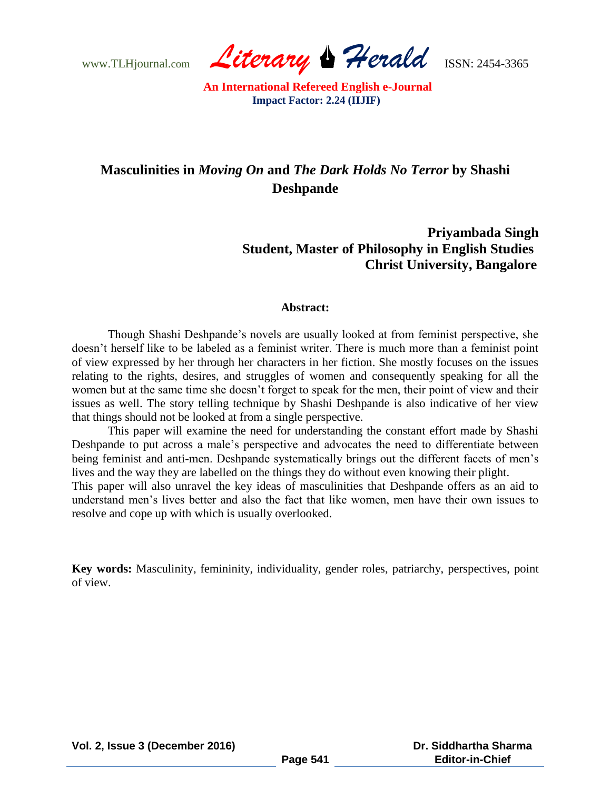www.TLHjournal.com *Literary Herald*ISSN: 2454-3365

# **Masculinities in** *Moving On* **and** *The Dark Holds No Terror* **by Shashi Deshpande**

## **Priyambada Singh Student, Master of Philosophy in English Studies Christ University, Bangalore**

#### **Abstract:**

Though Shashi Deshpande"s novels are usually looked at from feminist perspective, she doesn"t herself like to be labeled as a feminist writer. There is much more than a feminist point of view expressed by her through her characters in her fiction. She mostly focuses on the issues relating to the rights, desires, and struggles of women and consequently speaking for all the women but at the same time she doesn"t forget to speak for the men, their point of view and their issues as well. The story telling technique by Shashi Deshpande is also indicative of her view that things should not be looked at from a single perspective.

This paper will examine the need for understanding the constant effort made by Shashi Deshpande to put across a male's perspective and advocates the need to differentiate between being feminist and anti-men. Deshpande systematically brings out the different facets of men's lives and the way they are labelled on the things they do without even knowing their plight.

This paper will also unravel the key ideas of masculinities that Deshpande offers as an aid to understand men"s lives better and also the fact that like women, men have their own issues to resolve and cope up with which is usually overlooked.

**Key words:** Masculinity, femininity, individuality, gender roles, patriarchy, perspectives, point of view.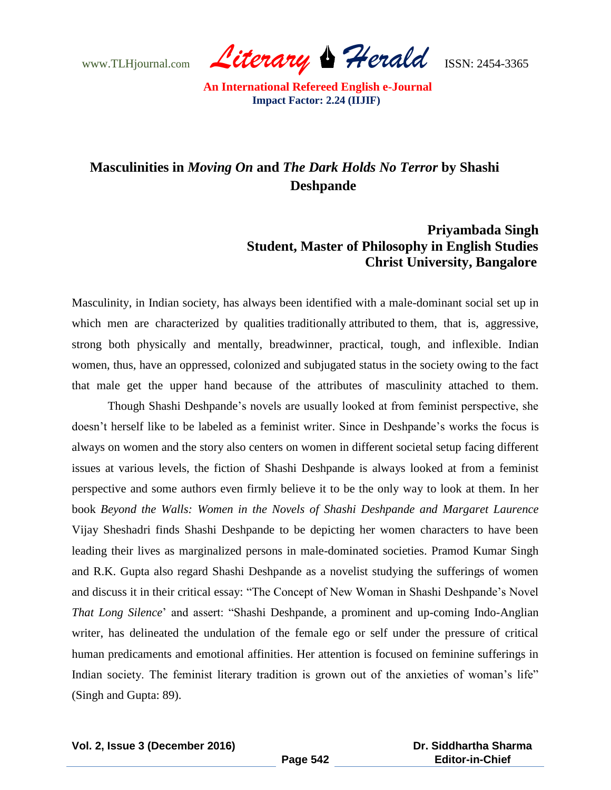www.TLHjournal.com *Literary Herald*ISSN: 2454-3365

## **Masculinities in** *Moving On* **and** *The Dark Holds No Terror* **by Shashi Deshpande**

### **Priyambada Singh Student, Master of Philosophy in English Studies Christ University, Bangalore**

Masculinity, in Indian society, has always been identified with a male-dominant social set up in which men are characterized by qualities traditionally attributed to them, that is, aggressive, strong both physically and mentally, breadwinner, practical, tough, and inflexible. Indian women, thus, have an oppressed, colonized and subjugated status in the society owing to the fact that male get the upper hand because of the attributes of masculinity attached to them.

Though Shashi Deshpande"s novels are usually looked at from feminist perspective, she doesn"t herself like to be labeled as a feminist writer. Since in Deshpande"s works the focus is always on women and the story also centers on women in different societal setup facing different issues at various levels, the fiction of Shashi Deshpande is always looked at from a feminist perspective and some authors even firmly believe it to be the only way to look at them. In her book *Beyond the Walls: Women in the Novels of Shashi Deshpande and Margaret Laurence*  Vijay Sheshadri finds Shashi Deshpande to be depicting her women characters to have been leading their lives as marginalized persons in male-dominated societies. Pramod Kumar Singh and R.K. Gupta also regard Shashi Deshpande as a novelist studying the sufferings of women and discuss it in their critical essay: "The Concept of New Woman in Shashi Deshpande's Novel *That Long Silence*" and assert: "Shashi Deshpande, a prominent and up-coming Indo-Anglian writer, has delineated the undulation of the female ego or self under the pressure of critical human predicaments and emotional affinities. Her attention is focused on feminine sufferings in Indian society. The feminist literary tradition is grown out of the anxieties of woman's life" (Singh and Gupta: 89).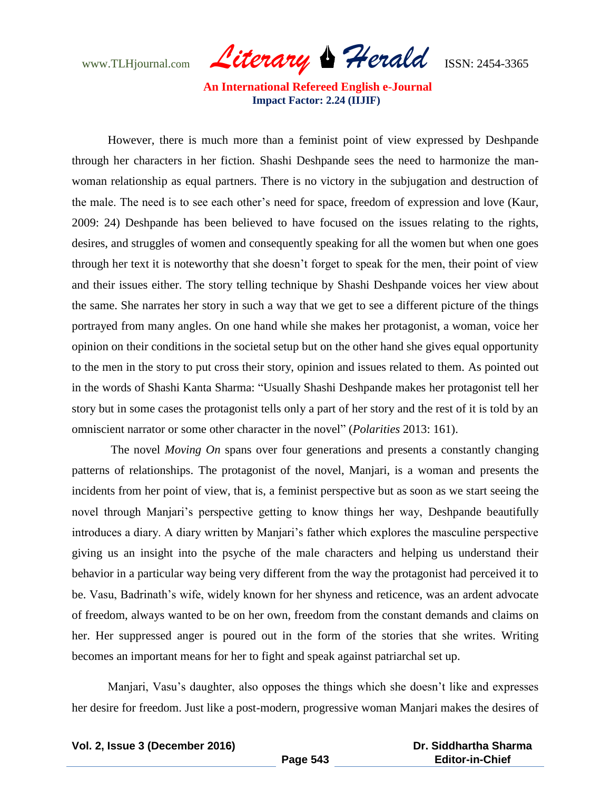www.TLHjournal.com *Literary Herald*ISSN: 2454-3365

 However, there is much more than a feminist point of view expressed by Deshpande through her characters in her fiction. Shashi Deshpande sees the need to harmonize the manwoman relationship as equal partners. There is no victory in the subjugation and destruction of the male. The need is to see each other"s need for space, freedom of expression and love (Kaur, 2009: 24) Deshpande has been believed to have focused on the issues relating to the rights, desires, and struggles of women and consequently speaking for all the women but when one goes through her text it is noteworthy that she doesn"t forget to speak for the men, their point of view and their issues either. The story telling technique by Shashi Deshpande voices her view about the same. She narrates her story in such a way that we get to see a different picture of the things portrayed from many angles. On one hand while she makes her protagonist, a woman, voice her opinion on their conditions in the societal setup but on the other hand she gives equal opportunity to the men in the story to put cross their story, opinion and issues related to them. As pointed out in the words of Shashi Kanta Sharma: "Usually Shashi Deshpande makes her protagonist tell her story but in some cases the protagonist tells only a part of her story and the rest of it is told by an omniscient narrator or some other character in the novel" (*Polarities* 2013: 161).

The novel *Moving On* spans over four generations and presents a constantly changing patterns of relationships. The protagonist of the novel, Manjari, is a woman and presents the incidents from her point of view, that is, a feminist perspective but as soon as we start seeing the novel through Manjari's perspective getting to know things her way, Deshpande beautifully introduces a diary. A diary written by Manjari"s father which explores the masculine perspective giving us an insight into the psyche of the male characters and helping us understand their behavior in a particular way being very different from the way the protagonist had perceived it to be. Vasu, Badrinath's wife, widely known for her shyness and reticence, was an ardent advocate of freedom, always wanted to be on her own, freedom from the constant demands and claims on her. Her suppressed anger is poured out in the form of the stories that she writes. Writing becomes an important means for her to fight and speak against patriarchal set up.

Manjari, Vasu"s daughter, also opposes the things which she doesn"t like and expresses her desire for freedom. Just like a post-modern, progressive woman Manjari makes the desires of

 **Dr. Siddhartha Sharma Editor-in-Chief**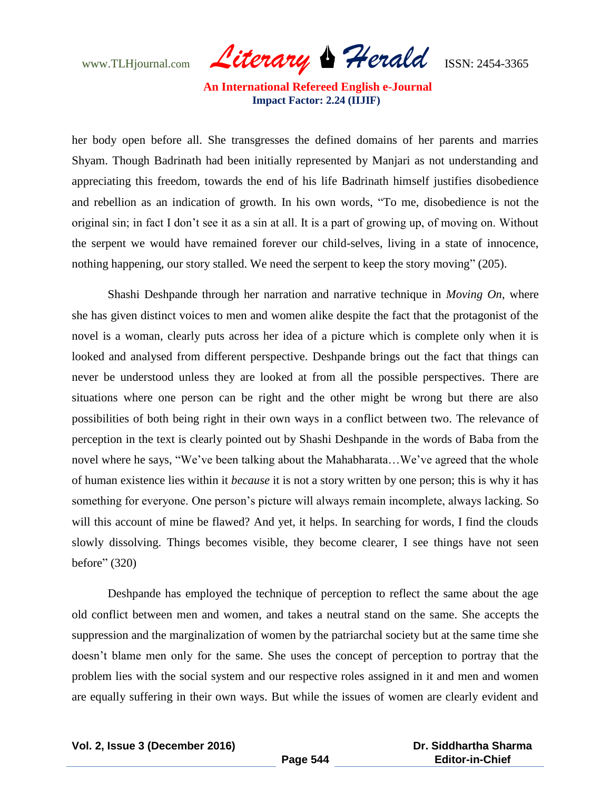www.TLHjournal.com *Literary Herald*ISSN: 2454-3365

her body open before all. She transgresses the defined domains of her parents and marries Shyam. Though Badrinath had been initially represented by Manjari as not understanding and appreciating this freedom, towards the end of his life Badrinath himself justifies disobedience and rebellion as an indication of growth. In his own words, "To me, disobedience is not the original sin; in fact I don"t see it as a sin at all. It is a part of growing up, of moving on. Without the serpent we would have remained forever our child-selves, living in a state of innocence, nothing happening, our story stalled. We need the serpent to keep the story moving" (205).

Shashi Deshpande through her narration and narrative technique in *Moving On*, where she has given distinct voices to men and women alike despite the fact that the protagonist of the novel is a woman, clearly puts across her idea of a picture which is complete only when it is looked and analysed from different perspective. Deshpande brings out the fact that things can never be understood unless they are looked at from all the possible perspectives. There are situations where one person can be right and the other might be wrong but there are also possibilities of both being right in their own ways in a conflict between two. The relevance of perception in the text is clearly pointed out by Shashi Deshpande in the words of Baba from the novel where he says, "We've been talking about the Mahabharata...We've agreed that the whole of human existence lies within it *because* it is not a story written by one person; this is why it has something for everyone. One person's picture will always remain incomplete, always lacking. So will this account of mine be flawed? And yet, it helps. In searching for words, I find the clouds slowly dissolving. Things becomes visible, they become clearer, I see things have not seen before" (320)

Deshpande has employed the technique of perception to reflect the same about the age old conflict between men and women, and takes a neutral stand on the same. She accepts the suppression and the marginalization of women by the patriarchal society but at the same time she doesn"t blame men only for the same. She uses the concept of perception to portray that the problem lies with the social system and our respective roles assigned in it and men and women are equally suffering in their own ways. But while the issues of women are clearly evident and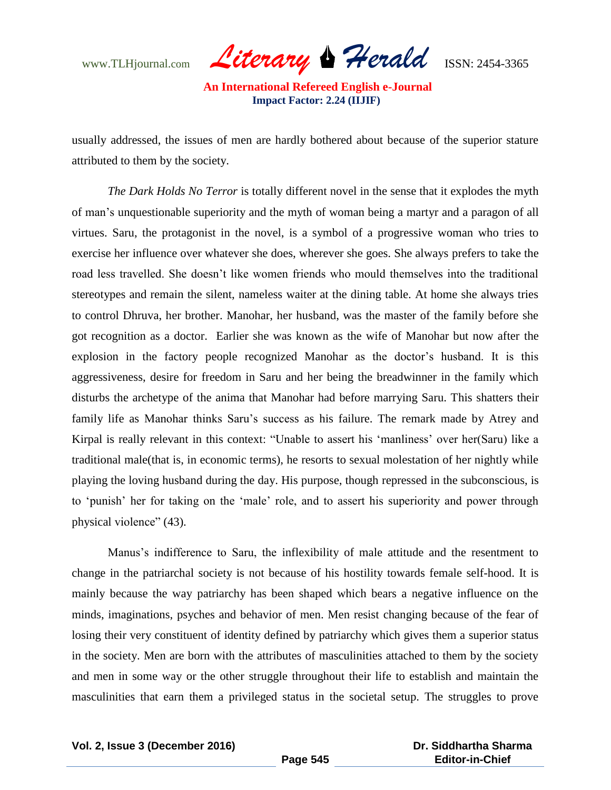www.TLHjournal.com *Literary Herald*ISSN: 2454-3365

usually addressed, the issues of men are hardly bothered about because of the superior stature attributed to them by the society.

*The Dark Holds No Terror* is totally different novel in the sense that it explodes the myth of man"s unquestionable superiority and the myth of woman being a martyr and a paragon of all virtues. Saru, the protagonist in the novel, is a symbol of a progressive woman who tries to exercise her influence over whatever she does, wherever she goes. She always prefers to take the road less travelled. She doesn"t like women friends who mould themselves into the traditional stereotypes and remain the silent, nameless waiter at the dining table. At home she always tries to control Dhruva, her brother. Manohar, her husband, was the master of the family before she got recognition as a doctor. Earlier she was known as the wife of Manohar but now after the explosion in the factory people recognized Manohar as the doctor's husband. It is this aggressiveness, desire for freedom in Saru and her being the breadwinner in the family which disturbs the archetype of the anima that Manohar had before marrying Saru. This shatters their family life as Manohar thinks Saru"s success as his failure. The remark made by Atrey and Kirpal is really relevant in this context: "Unable to assert his "manliness" over her(Saru) like a traditional male(that is, in economic terms), he resorts to sexual molestation of her nightly while playing the loving husband during the day. His purpose, though repressed in the subconscious, is to "punish" her for taking on the "male" role, and to assert his superiority and power through physical violence" (43).

Manus"s indifference to Saru, the inflexibility of male attitude and the resentment to change in the patriarchal society is not because of his hostility towards female self-hood. It is mainly because the way patriarchy has been shaped which bears a negative influence on the minds, imaginations, psyches and behavior of men. Men resist changing because of the fear of losing their very constituent of identity defined by patriarchy which gives them a superior status in the society. Men are born with the attributes of masculinities attached to them by the society and men in some way or the other struggle throughout their life to establish and maintain the masculinities that earn them a privileged status in the societal setup. The struggles to prove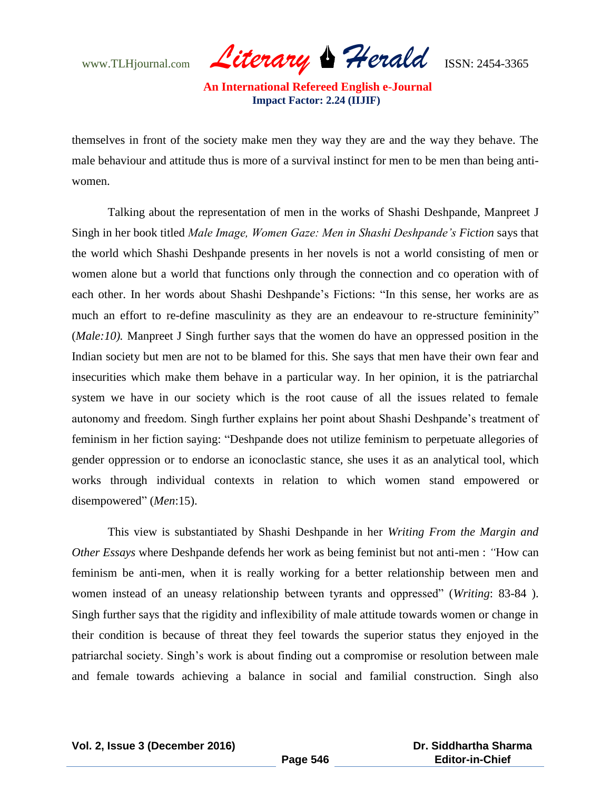www.TLHjournal.com *Literary Herald*ISSN: 2454-3365

themselves in front of the society make men they way they are and the way they behave. The male behaviour and attitude thus is more of a survival instinct for men to be men than being antiwomen.

Talking about the representation of men in the works of Shashi Deshpande, Manpreet J Singh in her book titled *Male Image, Women Gaze: Men in Shashi Deshpande's Fiction* says that the world which Shashi Deshpande presents in her novels is not a world consisting of men or women alone but a world that functions only through the connection and co operation with of each other. In her words about Shashi Deshpande"s Fictions: "In this sense, her works are as much an effort to re-define masculinity as they are an endeavour to re-structure femininity" (*Male:10).* Manpreet J Singh further says that the women do have an oppressed position in the Indian society but men are not to be blamed for this. She says that men have their own fear and insecurities which make them behave in a particular way. In her opinion, it is the patriarchal system we have in our society which is the root cause of all the issues related to female autonomy and freedom. Singh further explains her point about Shashi Deshpande"s treatment of feminism in her fiction saying: "Deshpande does not utilize feminism to perpetuate allegories of gender oppression or to endorse an iconoclastic stance, she uses it as an analytical tool, which works through individual contexts in relation to which women stand empowered or disempowered" (*Men*:15).

 This view is substantiated by Shashi Deshpande in her *Writing From the Margin and Other Essays* where Deshpande defends her work as being feminist but not anti-men : *"*How can feminism be anti-men, when it is really working for a better relationship between men and women instead of an uneasy relationship between tyrants and oppressed" (*Writing*: 83-84 ). Singh further says that the rigidity and inflexibility of male attitude towards women or change in their condition is because of threat they feel towards the superior status they enjoyed in the patriarchal society. Singh"s work is about finding out a compromise or resolution between male and female towards achieving a balance in social and familial construction. Singh also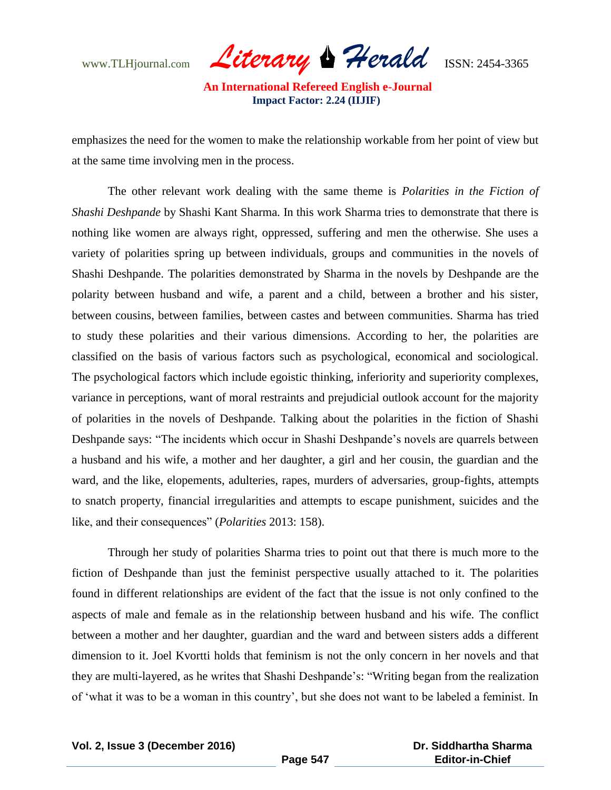www.TLHjournal.com *Literary Herald*ISSN: 2454-3365

emphasizes the need for the women to make the relationship workable from her point of view but at the same time involving men in the process.

The other relevant work dealing with the same theme is *Polarities in the Fiction of Shashi Deshpande* by Shashi Kant Sharma. In this work Sharma tries to demonstrate that there is nothing like women are always right, oppressed, suffering and men the otherwise. She uses a variety of polarities spring up between individuals, groups and communities in the novels of Shashi Deshpande. The polarities demonstrated by Sharma in the novels by Deshpande are the polarity between husband and wife, a parent and a child, between a brother and his sister, between cousins, between families, between castes and between communities. Sharma has tried to study these polarities and their various dimensions. According to her, the polarities are classified on the basis of various factors such as psychological, economical and sociological. The psychological factors which include egoistic thinking, inferiority and superiority complexes, variance in perceptions, want of moral restraints and prejudicial outlook account for the majority of polarities in the novels of Deshpande. Talking about the polarities in the fiction of Shashi Deshpande says: "The incidents which occur in Shashi Deshpande's novels are quarrels between a husband and his wife, a mother and her daughter, a girl and her cousin, the guardian and the ward, and the like, elopements, adulteries, rapes, murders of adversaries, group-fights, attempts to snatch property, financial irregularities and attempts to escape punishment, suicides and the like, and their consequences" (*Polarities* 2013: 158).

Through her study of polarities Sharma tries to point out that there is much more to the fiction of Deshpande than just the feminist perspective usually attached to it. The polarities found in different relationships are evident of the fact that the issue is not only confined to the aspects of male and female as in the relationship between husband and his wife. The conflict between a mother and her daughter, guardian and the ward and between sisters adds a different dimension to it. Joel Kvortti holds that feminism is not the only concern in her novels and that they are multi-layered, as he writes that Shashi Deshpande"s: "Writing began from the realization of "what it was to be a woman in this country", but she does not want to be labeled a feminist. In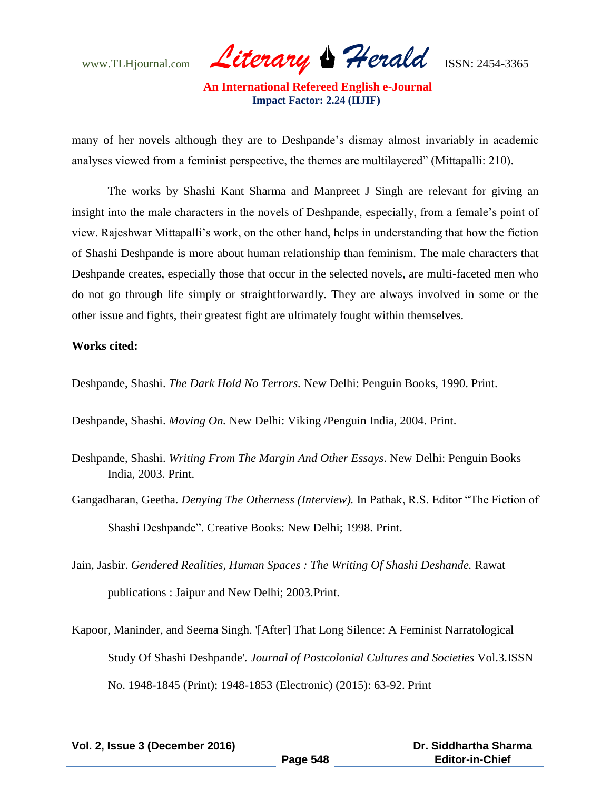www.TLHjournal.com *Literary Herald*ISSN: 2454-3365

many of her novels although they are to Deshpande's dismay almost invariably in academic analyses viewed from a feminist perspective, the themes are multilayered" (Mittapalli: 210).

The works by Shashi Kant Sharma and Manpreet J Singh are relevant for giving an insight into the male characters in the novels of Deshpande, especially, from a female's point of view. Rajeshwar Mittapalli"s work, on the other hand, helps in understanding that how the fiction of Shashi Deshpande is more about human relationship than feminism. The male characters that Deshpande creates, especially those that occur in the selected novels, are multi-faceted men who do not go through life simply or straightforwardly. They are always involved in some or the other issue and fights, their greatest fight are ultimately fought within themselves.

### **Works cited:**

Deshpande, Shashi. *The Dark Hold No Terrors.* New Delhi: Penguin Books, 1990. Print.

Deshpande, Shashi. *Moving On.* New Delhi: Viking /Penguin India, 2004. Print.

- Deshpande, Shashi. *Writing From The Margin And Other Essays*. New Delhi: Penguin Books India, 2003. Print.
- Gangadharan, Geetha. *Denying The Otherness (Interview).* In Pathak, R.S. Editor "The Fiction of Shashi Deshpande". Creative Books: New Delhi; 1998. Print.
- Jain, Jasbir. *Gendered Realities, Human Spaces : The Writing Of Shashi Deshande.* Rawat publications : Jaipur and New Delhi; 2003.Print.
- Kapoor, Maninder, and Seema Singh. '[After] That Long Silence: A Feminist Narratological Study Of Shashi Deshpande'. *Journal of Postcolonial Cultures and Societies* Vol.3.ISSN No. 1948-1845 (Print); 1948-1853 (Electronic) (2015): 63-92. Print

**Vol. 2, Issue 3 (December 2016)**

 **Dr. Siddhartha Sharma Editor-in-Chief**